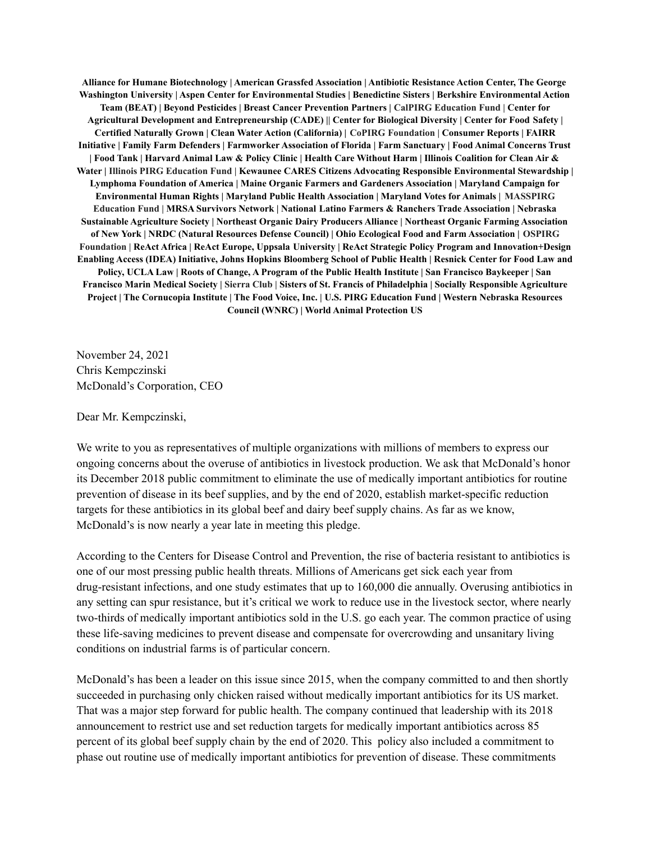**Alliance for Humane Biotechnology | American Grassfed Association | Antibiotic Resistance Action Center, The George Washington University | Aspen Center for Environmental Studies | Benedictine Sisters | Berkshire Environmental Action Team (BEAT) | Beyond Pesticides | Breast Cancer Prevention Partners | CalPIRG Education Fund | Center for Agricultural Development and Entrepreneurship (CADE) || Center for Biological Diversity | Center for Food Safety | Certified Naturally Grown | Clean Water Action (California) | CoPIRG Foundation | Consumer Reports | FAIRR Initiative | Family Farm Defenders | Farmworker Association of Florida | Farm Sanctuary | Food Animal Concerns Trust | Food Tank | Harvard Animal Law & Policy Clinic | Health Care Without Harm | Illinois Coalition for Clean Air & Water | Illinois PIRG Education Fund | Kewaunee CARES Citizens Advocating Responsible Environmental Stewardship | Lymphoma Foundation of America | Maine Organic Farmers and Gardeners Association | Maryland Campaign for Environmental Human Rights | Maryland Public Health Association | Maryland Votes for Animals | MASSPIRG Education Fund | MRSA Survivors Network | National Latino Farmers & Ranchers Trade Association | Nebraska Sustainable Agriculture Society | Northeast Organic Dairy Producers Alliance | Northeast Organic Farming Association of New York | NRDC (Natural Resources Defense Council) | Ohio Ecological Food and Farm Association | OSPIRG Foundation | ReAct Africa | ReAct Europe, Uppsala University | ReAct Strategic Policy Program and Innovation+Design Enabling Access (IDEA) Initiative, Johns Hopkins Bloomberg School of Public Health | Resnick Center for Food Law and Policy, UCLA Law | Roots of Change, A Program of the Public Health Institute | San Francisco Baykeeper | San Francisco Marin Medical Society | Sierra Club | Sisters of St. Francis of Philadelphia | Socially Responsible Agriculture Project | The Cornucopia Institute | The Food Voice, Inc. | U.S. PIRG Education Fund | Western Nebraska Resources Council (WNRC) | World Animal Protection US**

November 24, 2021 Chris Kempczinski McDonald's Corporation, CEO

Dear Mr. Kempczinski,

We write to you as representatives of multiple organizations with millions of members to express our ongoing concerns about the overuse of antibiotics in livestock production. We ask that McDonald's honor its December 2018 public commitment to eliminate the use of medically important antibiotics for routine prevention of disease in its beef supplies, and by the end of 2020, establish market-specific reduction targets for these antibiotics in its global beef and dairy beef supply chains. As far as we know, McDonald's is now nearly a year late in meeting this pledge.

According to the Centers for Disease Control and Prevention, the rise of bacteria resistant to antibiotics is one of our most pressing public health threats. Millions of Americans get sick each year from drug-resistant infections, and one study estimates that up to 160,000 die annually. Overusing antibiotics in any setting can spur resistance, but it's critical we work to reduce use in the livestock sector, where nearly two-thirds of medically important antibiotics sold in the U.S. go each year. The common practice of using these life-saving medicines to prevent disease and compensate for overcrowding and unsanitary living conditions on industrial farms is of particular concern.

McDonald's has been a leader on this issue since 2015, when the company committed to and then shortly succeeded in purchasing only chicken raised without medically important antibiotics for its US market. That was a major step forward for public health. The company continued that leadership with its 2018 announcement to restrict use and set reduction targets for medically important antibiotics across 85 percent of its global beef supply chain by the end of 2020. This policy also included a commitment to phase out routine use of medically important antibiotics for prevention of disease. These commitments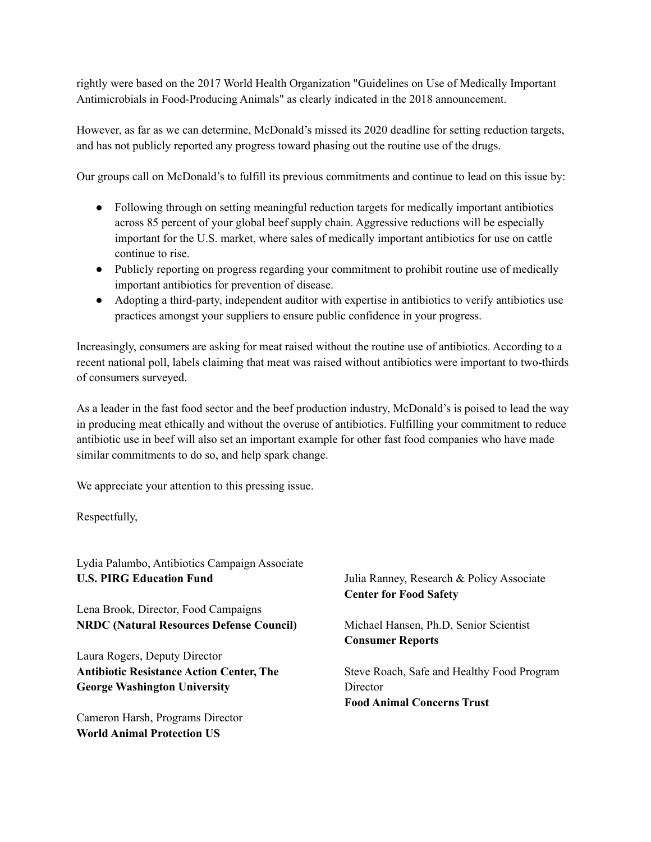rightly were based on the 2017 World Health Organization "Guidelines on Use of Medically Important Antimicrobials in Food-Producing Animals" as clearly indicated in the 2018 announcement.

However, as far as we can determine, McDonald's missed its 2020 deadline for setting reduction targets, and has not publicly reported any progress toward phasing out the routine use of the drugs.

Our groups call on McDonald's to fulfill its previous commitments and continue to lead on this issue by:

- Following through on setting meaningful reduction targets for medically important antibiotics across 85 percent of your global beef supply chain. Aggressive reductions will be especially important for the U.S. market, where sales of medically important antibiotics for use on cattle continue to rise.
- Publicly reporting on progress regarding your commitment to prohibit routine use of medically important antibiotics for prevention of disease.
- Adopting a third-party, independent auditor with expertise in antibiotics to verify antibiotics use practices amongst your suppliers to ensure public confidence in your progress.

Increasingly, consumers are asking for meat raised without the routine use of antibiotics. According to a recent national poll, labels claiming that meat was raised without antibiotics were important to two-thirds of consumers surveyed.

As a leader in the fast food sector and the beef production industry, McDonald's is poised to lead the way in producing meat ethically and without the overuse of antibiotics. Fulfilling your commitment to reduce antibiotic use in beef will also set an important example for other fast food companies who have made similar commitments to do so, and help spark change.

We appreciate your attention to this pressing issue.

Respectfully,

Lydia Palumbo, Antibiotics Campaign Associate **U.S. PIRG Education Fund**

Lena Brook, Director, Food Campaigns **NRDC (Natural Resources Defense Council)**

Laura Rogers, Deputy Director **Antibiotic Resistance Action Center, The George Washington University**

Cameron Harsh, Programs Director **World Animal Protection US**

Julia Ranney, Research & Policy Associate **Center for Food Safety**

Michael Hansen, Ph.D, Senior Scientist **Consumer Reports**

Steve Roach, Safe and Healthy Food Program **Director Food Animal Concerns Trust**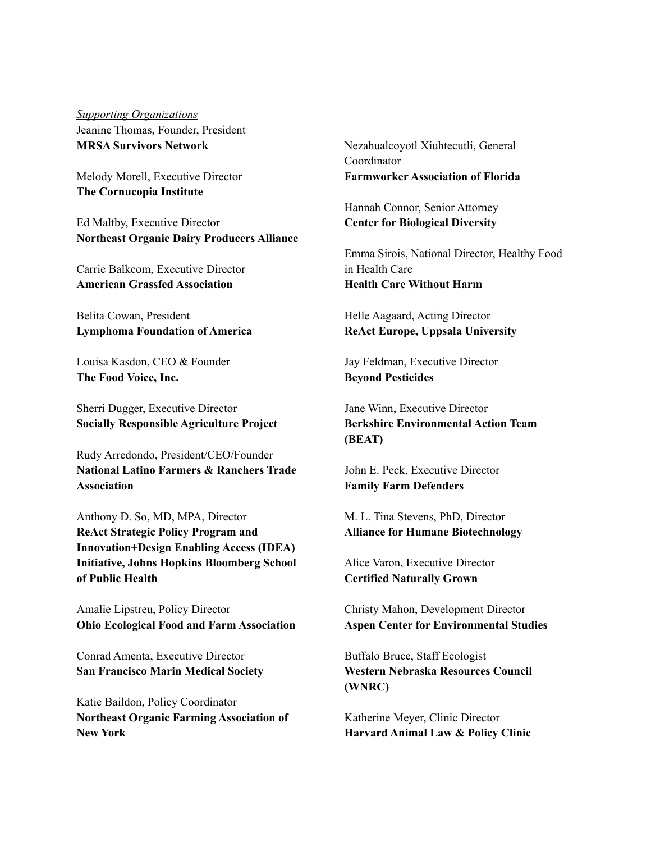*Supporting Organizations* Jeanine Thomas, Founder, President **MRSA Survivors Network**

Melody Morell, Executive Director **The Cornucopia Institute**

Ed Maltby, Executive Director **Northeast Organic Dairy Producers Alliance**

Carrie Balkcom, Executive Director **American Grassfed Association**

Belita Cowan, President **Lymphoma Foundation of America**

Louisa Kasdon, CEO & Founder **The Food Voice, Inc.**

Sherri Dugger, Executive Director **Socially Responsible Agriculture Project**

Rudy Arredondo, President/CEO/Founder **National Latino Farmers & Ranchers Trade Association**

Anthony D. So, MD, MPA, Director **ReAct Strategic Policy Program and Innovation+Design Enabling Access (IDEA) Initiative, Johns Hopkins Bloomberg School of Public Health**

Amalie Lipstreu, Policy Director **Ohio Ecological Food and Farm Association**

Conrad Amenta, Executive Director **San Francisco Marin Medical Society**

Katie Baildon, Policy Coordinator **Northeast Organic Farming Association of New York**

Nezahualcoyotl Xiuhtecutli, General Coordinator **Farmworker Association of Florida**

Hannah Connor, Senior Attorney **Center for Biological Diversity**

Emma Sirois, National Director, Healthy Food in Health Care **Health Care Without Harm**

Helle Aagaard, Acting Director **ReAct Europe, Uppsala University**

Jay Feldman, Executive Director **Beyond Pesticides**

Jane Winn, Executive Director **Berkshire Environmental Action Team (BEAT)**

John E. Peck, Executive Director **Family Farm Defenders**

M. L. Tina Stevens, PhD, Director **Alliance for Humane Biotechnology**

Alice Varon, Executive Director **Certified Naturally Grown**

Christy Mahon, Development Director **Aspen Center for Environmental Studies**

Buffalo Bruce, Staff Ecologist **Western Nebraska Resources Council (WNRC)**

Katherine Meyer, Clinic Director **Harvard Animal Law & Policy Clinic**